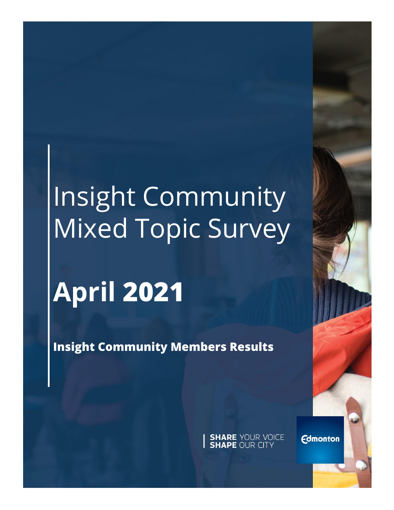# Insight Community Mixed Topic Survey

## **April 2021**

**Insight Community Members Results**

**SHARE YOUR VOICE**<br>**SHAPE OUR CITY** 

**Edmonton**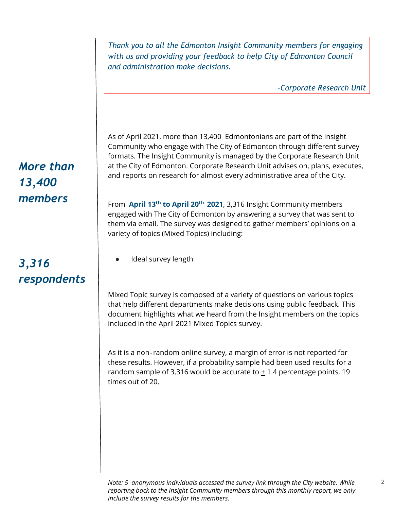*Thank you to all the Edmonton Insight Community members for engaging with us and providing your feedback to help City of Edmonton Council and administration make decisions.* 

*-Corporate Research Unit*

2

As of April 2021, more than 13,400 Edmontonians are part of the Insight Community who engage with The City of Edmonton through different survey formats. The Insight Community is managed by the Corporate Research Unit at the City of Edmonton. Corporate Research Unit advises on, plans, executes, and reports on research for almost every administrative area of the City.

From **April 13th to April 20th 2021**, 3,316 Insight Community members engaged with The City of Edmonton by answering a survey that was sent to them via email. The survey was designed to gather members' opinions on a variety of topics (Mixed Topics) including:

Ideal survey length

Mixed Topic survey is composed of a variety of questions on various topics that help different departments make decisions using public feedback. This document highlights what we heard from the Insight members on the topics included in the April 2021 Mixed Topics survey.

As it is a non‐random online survey, a margin of error is not reported for these results. However, if a probability sample had been used results for a random sample of 3,316 would be accurate to  $\pm$  1.4 percentage points, 19 times out of 20.

### *More than 13,400 members*

### *3,316 respondents*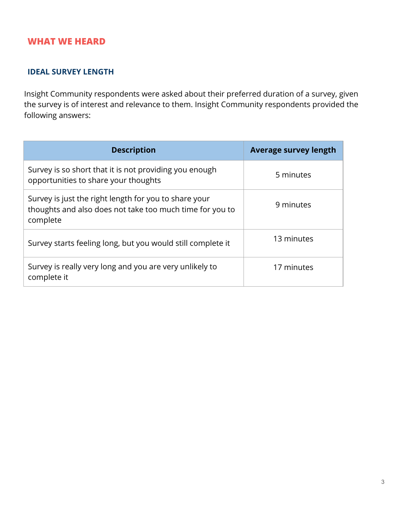#### **WHAT WE HEARD**

#### **IDEAL SURVEY LENGTH**

Insight Community respondents were asked about their preferred duration of a survey, given the survey is of interest and relevance to them. Insight Community respondents provided the following answers:

| <b>Description</b>                                                                                                            | <b>Average survey length</b> |
|-------------------------------------------------------------------------------------------------------------------------------|------------------------------|
| Survey is so short that it is not providing you enough<br>opportunities to share your thoughts                                | 5 minutes                    |
| Survey is just the right length for you to share your<br>thoughts and also does not take too much time for you to<br>complete | 9 minutes                    |
| Survey starts feeling long, but you would still complete it                                                                   | 13 minutes                   |
| Survey is really very long and you are very unlikely to<br>complete it                                                        | 17 minutes                   |